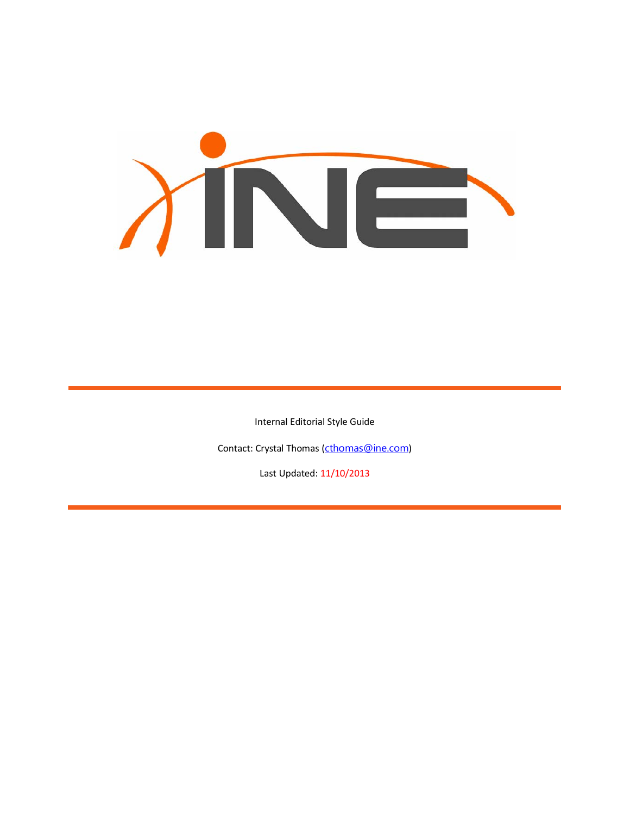

Internal Editorial Style Guide

Contact: Crystal Thomas ([cthomas@ine.com](mailto:cthomas@ine.com))

Last Updated: 11/10/2013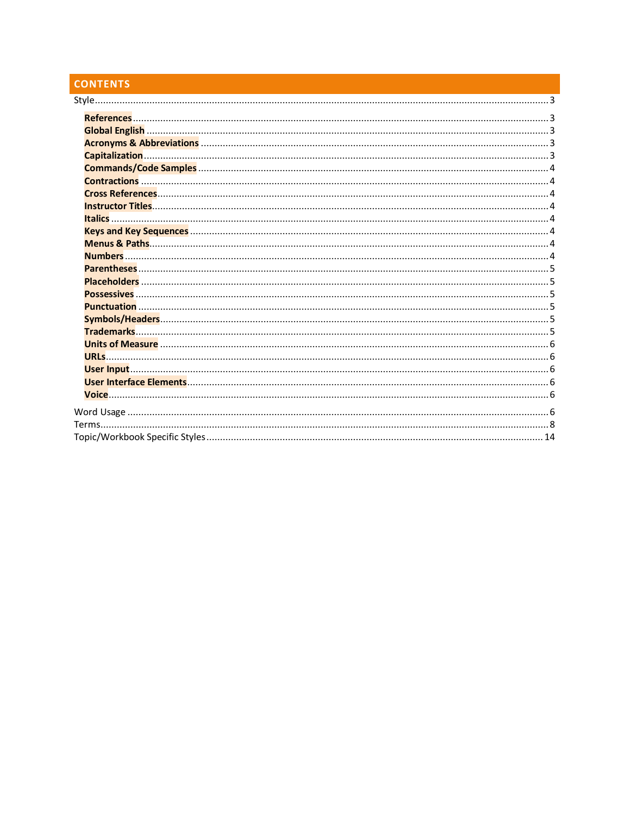# **CONTENTS**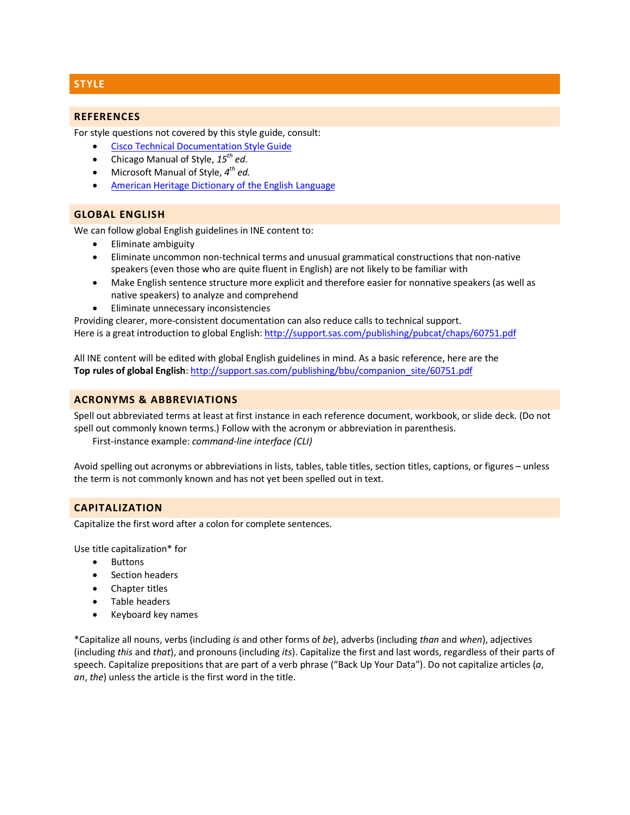# <span id="page-2-0"></span>**STYLE**

## <span id="page-2-1"></span>**REFERENCES**

For style questions not covered by this style guide, consult:

- [Cisco Technical Documentation Style Guide](http://www.cisco.com/en/US/docs/general/style/guide/SGAug09/stylegd.pdf)
- Chicago Manual of Style, *15th ed*.
- Microsoft Manual of Style,  $4^{th}$  *ed.*
- [American Heritage Dictionary of the English Language](http://ahdictionary.com/)

## <span id="page-2-2"></span>**GLOBAL ENGLISH**

We can follow global English guidelines in INE content to:

- Eliminate ambiguity
- Eliminate uncommon non-technical terms and unusual grammatical constructions that non-native speakers (even those who are quite fluent in English) are not likely to be familiar with
- Make English sentence structure more explicit and therefore easier for nonnative speakers (as well as native speakers) to analyze and comprehend
- Eliminate unnecessary inconsistencies

Providing clearer, more-consistent documentation can also reduce calls to technical support. Here is a great introduction to global English[: http://support.sas.com/publishing/pubcat/chaps/60751.pdf](http://support.sas.com/publishing/pubcat/chaps/60751.pdf)

All INE content will be edited with global English guidelines in mind. As a basic reference, here are the **Top rules of global English**: [http://support.sas.com/publishing/bbu/companion\\_site/60751.pdf](http://support.sas.com/publishing/bbu/companion_site/60751.pdf)

## <span id="page-2-3"></span>**ACRONYMS & ABBREVIATIONS**

Spell out abbreviated terms at least at first instance in each reference document, workbook, or slide deck. (Do not spell out commonly known terms.) Follow with the acronym or abbreviation in parenthesis. First-instance example: *command-line interface (CLI)*

Avoid spelling out acronyms or abbreviations in lists, tables, table titles, section titles, captions, or figures – unless

## <span id="page-2-4"></span>**CAPITALIZATION**

Capitalize the first word after a colon for complete sentences.

the term is not commonly known and has not yet been spelled out in text.

Use title capitalization\* for

- Buttons
- Section headers
- Chapter titles
- Table headers
- Keyboard key names

\*Capitalize all nouns, verbs (including *is* and other forms of *be*), adverbs (including *than* and *when*), adjectives (including *this* and *that*), and pronouns (including *its*). Capitalize the first and last words, regardless of their parts of speech. Capitalize prepositions that are part of a verb phrase ("Back Up Your Data"). Do not capitalize articles (*a*, *an*, *the*) unless the article is the first word in the title.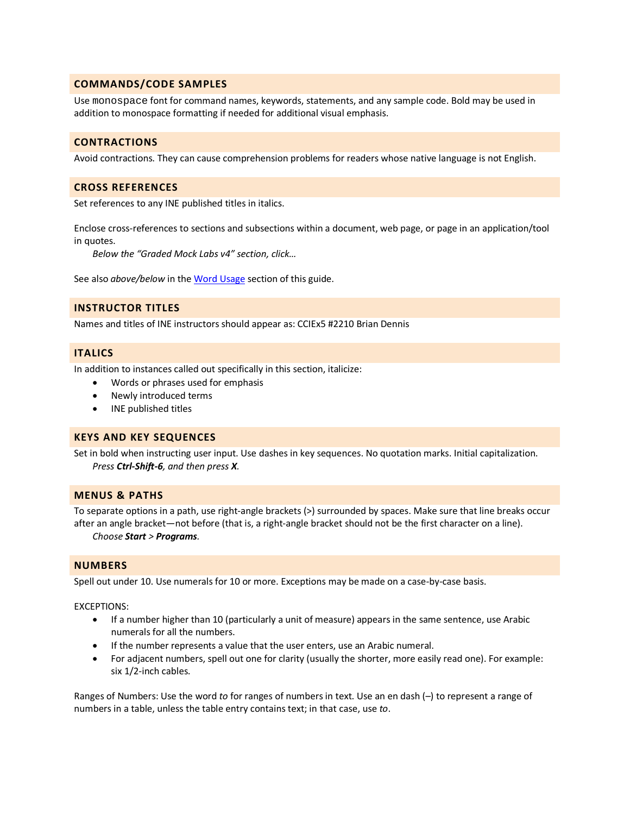## <span id="page-3-0"></span>**COMMANDS/CODE SAMPLES**

Use monospace font for command names, keywords, statements, and any sample code. Bold may be used in addition to monospace formatting if needed for additional visual emphasis.

## <span id="page-3-1"></span>**CONTRACTIONS**

Avoid contractions. They can cause comprehension problems for readers whose native language is not English.

## <span id="page-3-2"></span>**CROSS REFERENCES**

Set references to any INE published titles in italics.

Enclose cross-references to sections and subsections within a document, web page, or page in an application/tool in quotes.

*Below the "Graded Mock Labs v4" section, click…*

See also *above/below* in th[e Word Usage](#page-5-5) section of this guide.

## <span id="page-3-3"></span>**INSTRUCTOR TITLES**

Names and titles of INE instructors should appear as: CCIEx5 #2210 Brian Dennis

## <span id="page-3-4"></span>**ITALICS**

In addition to instances called out specifically in this section, italicize:

- Words or phrases used for emphasis
- Newly introduced terms
- INE published titles

#### <span id="page-3-5"></span>**KEYS AND KEY SEQUENCES**

Set in bold when instructing user input. Use dashes in key sequences. No quotation marks. Initial capitalization. *Press Ctrl-Shift-6, and then press X.* 

#### <span id="page-3-6"></span>**MENUS & PATHS**

To separate options in a path, use right-angle brackets (>) surrounded by spaces. Make sure that line breaks occur after an angle bracket—not before (that is, a right-angle bracket should not be the first character on a line). *Choose Start > Programs.*

#### <span id="page-3-7"></span>**NUMBERS**

Spell out under 10. Use numerals for 10 or more. Exceptions may be made on a case-by-case basis.

#### EXCEPTIONS:

- If a number higher than 10 (particularly a unit of measure) appears in the same sentence, use Arabic numerals for all the numbers.
- If the number represents a value that the user enters, use an Arabic numeral.
- For adjacent numbers, spell out one for clarity (usually the shorter, more easily read one). For example: six 1/2-inch cables.

Ranges of Numbers: Use the word *to* for ranges of numbers in text. Use an en dash (–) to represent a range of numbers in a table, unless the table entry contains text; in that case, use *to*.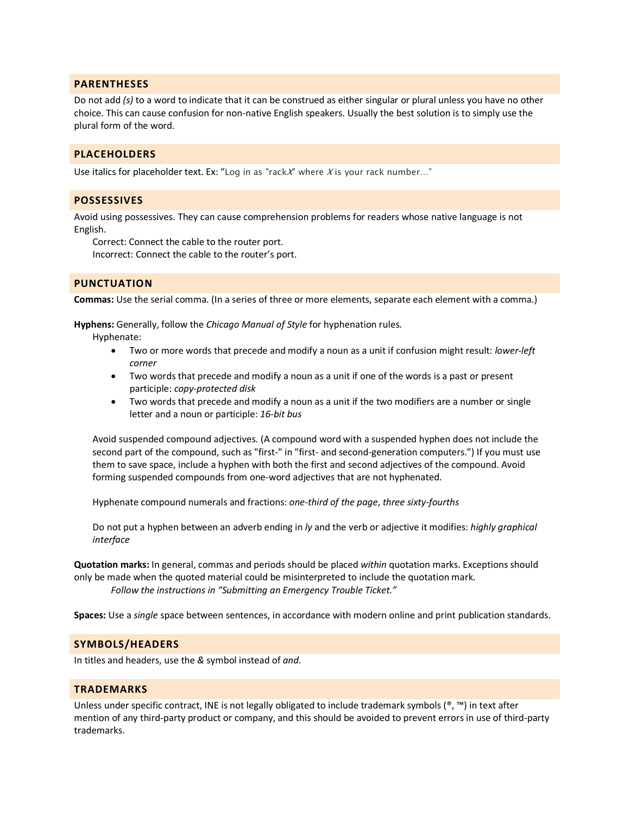## <span id="page-4-0"></span>**PARENTHESES**

Do not add *(s)* to a word to indicate that it can be construed as either singular or plural unless you have no other choice. This can cause confusion for non-native English speakers. Usually the best solution is to simply use the plural form of the word.

## <span id="page-4-1"></span>**PLACEHOLDERS**

Use italics for placeholder text. Ex: "Log in as "rack $X$ " where X is your rack number..."

#### <span id="page-4-2"></span>**POSSESSIVES**

Avoid using possessives. They can cause comprehension problems for readers whose native language is not English.

Correct: Connect the cable to the router port.

Incorrect: Connect the cable to the router's port.

## <span id="page-4-3"></span>**PUNCTUATION**

**Commas:** Use the serial comma. (In a series of three or more elements, separate each element with a comma.)

**Hyphens:** Generally, follow the *Chicago Manual of Style* for hyphenation rules.

Hyphenate:

- Two or more words that precede and modify a noun as a unit if confusion might result: *lower-left corner*
- Two words that precede and modify a noun as a unit if one of the words is a past or present participle: *copy-protected disk*
- Two words that precede and modify a noun as a unit if the two modifiers are a number or single letter and a noun or participle: *16-bit bus*

Avoid suspended compound adjectives. (A compound word with a suspended hyphen does not include the second part of the compound, such as "first-" in "first- and second-generation computers.") If you must use them to save space, include a hyphen with both the first and second adjectives of the compound. Avoid forming suspended compounds from one-word adjectives that are not hyphenated.

Hyphenate compound numerals and fractions: *one-third of the page*, *three sixty-fourths*

Do not put a hyphen between an adverb ending in *ly* and the verb or adjective it modifies: *highly graphical interface*

**Quotation marks:** In general, commas and periods should be placed *within* quotation marks. Exceptions should only be made when the quoted material could be misinterpreted to include the quotation mark. *Follow the instructions in "Submitting an Emergency Trouble Ticket."*

**Spaces:** Use a *single* space between sentences, in accordance with modern online and print publication standards.

## <span id="page-4-4"></span>**SYMBOLS/HEADERS**

In titles and headers, use the *&* symbol instead of *and*.

## <span id="page-4-5"></span>**TRADEMARKS**

Unless under specific contract, INE is not legally obligated to include trademark symbols (®, ™) in text after mention of any third-party product or company, and this should be avoided to prevent errors in use of third-party trademarks.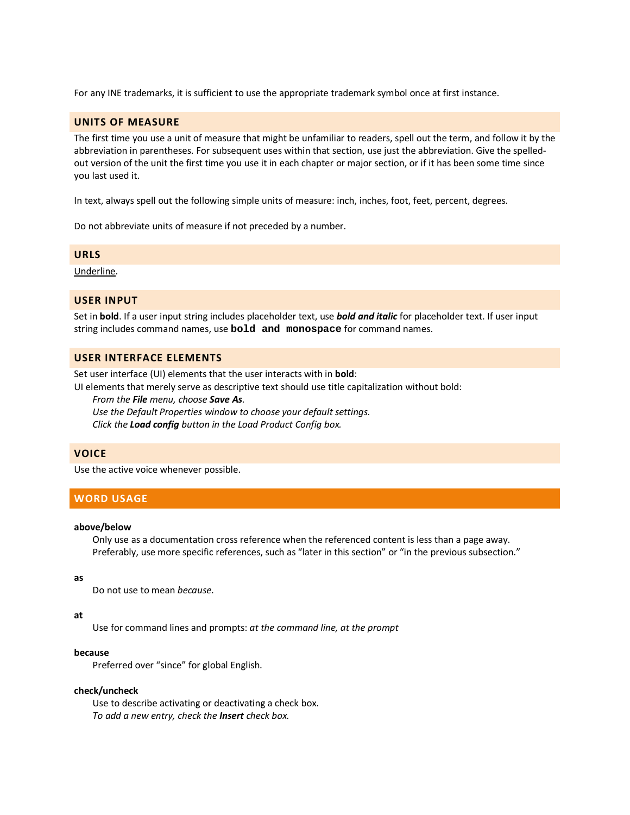For any INE trademarks, it is sufficient to use the appropriate trademark symbol once at first instance.

## <span id="page-5-0"></span>**UNITS OF MEASURE**

The first time you use a unit of measure that might be unfamiliar to readers, spell out the term, and follow it by the abbreviation in parentheses. For subsequent uses within that section, use just the abbreviation. Give the spelledout version of the unit the first time you use it in each chapter or major section, or if it has been some time since you last used it.

In text, always spell out the following simple units of measure: inch, inches, foot, feet, percent, degrees.

Do not abbreviate units of measure if not preceded by a number.

## <span id="page-5-1"></span>**URLS**

Underline.

## <span id="page-5-2"></span>**USER INPUT**

Set in **bold**. If a user input string includes placeholder text, use *bold and italic* for placeholder text. If user input string includes command names, use **bold and monospace** for command names.

## <span id="page-5-3"></span>**USER INTERFACE ELEMENTS**

Set user interface (UI) elements that the user interacts with in **bold**:

UI elements that merely serve as descriptive text should use title capitalization without bold:

*From the File menu, choose Save As.*

*Use the Default Properties window to choose your default settings. Click the Load config button in the Load Product Config box.*

## <span id="page-5-4"></span>**VOICE**

Use the active voice whenever possible.

# <span id="page-5-5"></span>**WORD USAGE**

#### **above/below**

Only use as a documentation cross reference when the referenced content is less than a page away. Preferably, use more specific references, such as "later in this section" or "in the previous subsection."

#### **as**

Do not use to mean *because*.

#### **at**

Use for command lines and prompts: *at the command line, at the prompt*

#### **because**

Preferred over "since" for global English.

#### **check/uncheck**

Use to describe activating or deactivating a check box. *To add a new entry, check the Insert check box.*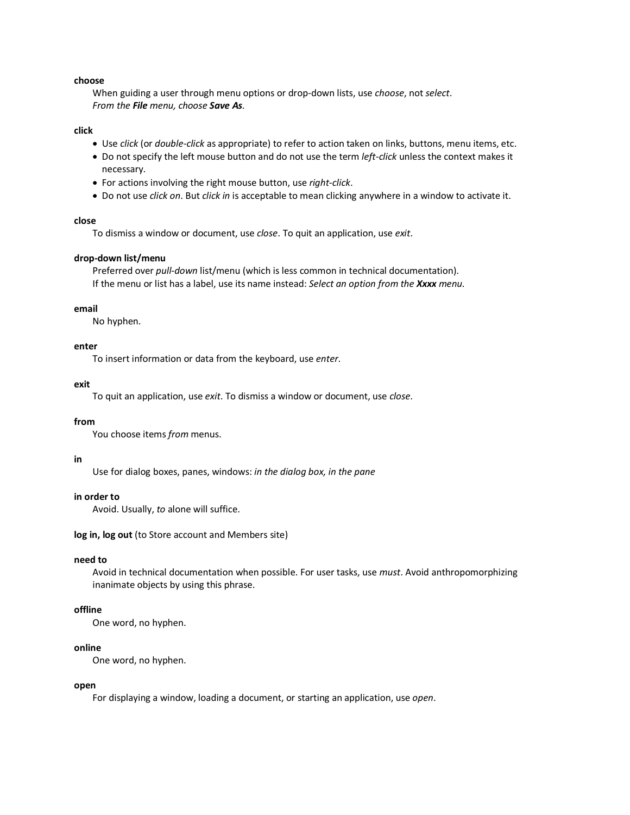#### **choose**

When guiding a user through menu options or drop-down lists, use *choose*, not *select*. *From the File menu, choose Save As.*

#### **click**

- Use *click* (or *double-click* as appropriate) to refer to action taken on links, buttons, menu items, etc.
- Do not specify the left mouse button and do not use the term *left-click* unless the context makes it necessary.
- For actions involving the right mouse button, use *right-click*.
- Do not use *click on*. But *click in* is acceptable to mean clicking anywhere in a window to activate it.

#### **close**

To dismiss a window or document, use *close*. To quit an application, use *exit*.

#### **drop-down list/menu**

Preferred over *pull-down* list/menu (which is less common in technical documentation). If the menu or list has a label, use its name instead: *Select an option from the Xxxx menu.*

#### **email**

No hyphen.

#### **enter**

To insert information or data from the keyboard, use *enter*.

#### **exit**

To quit an application, use *exit*. To dismiss a window or document, use *close*.

#### **from**

You choose items *from* menus.

#### **in**

Use for dialog boxes, panes, windows: *in the dialog box, in the pane*

#### **in order to**

Avoid. Usually, *to* alone will suffice.

**log in, log out** (to Store account and Members site)

#### **need to**

Avoid in technical documentation when possible. For user tasks, use *must*. Avoid anthropomorphizing inanimate objects by using this phrase.

## **offline**

One word, no hyphen.

#### **online**

One word, no hyphen.

#### **open**

For displaying a window, loading a document, or starting an application, use *open*.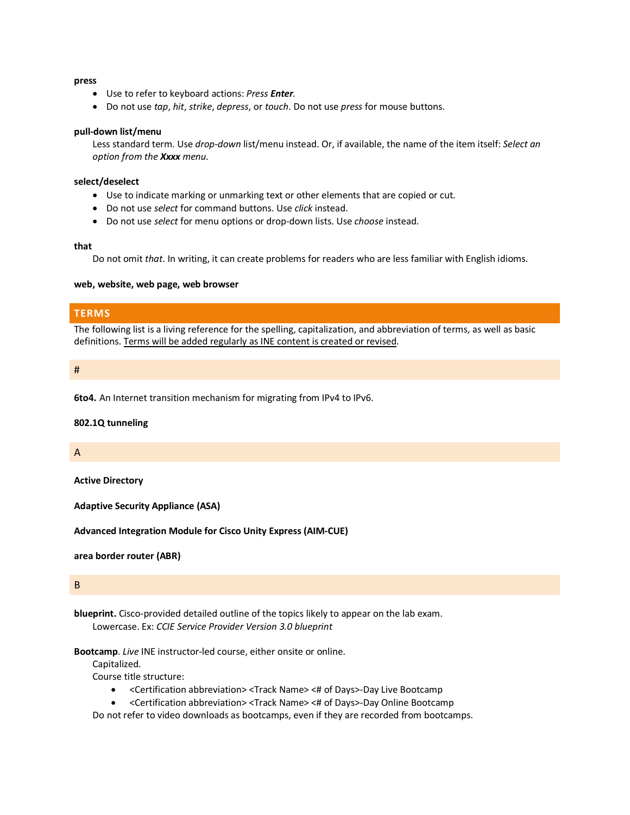#### **press**

- Use to refer to keyboard actions: *Press Enter.*
- Do not use *tap*, *hit*, *strike*, *depress*, or *touch*. Do not use *press* for mouse buttons.

#### **pull-down list/menu**

Less standard term. Use *drop-down* list/menu instead. Or, if available, the name of the item itself: *Select an option from the Xxxx menu.*

#### **select/deselect**

- Use to indicate marking or unmarking text or other elements that are copied or cut.
- Do not use *select* for command buttons. Use *click* instead.
- Do not use *select* for menu options or drop-down lists. Use *choose* instead.

#### **that**

Do not omit *that*. In writing, it can create problems for readers who are less familiar with English idioms.

#### **web, website, web page, web browser**

## <span id="page-7-0"></span>**TERMS**

The following list is a living reference for the spelling, capitalization, and abbreviation of terms, as well as basic definitions. Terms will be added regularly as INE content is created or revised.

#### #

**6to4.** An Internet transition mechanism for migrating from IPv4 to IPv6.

#### **802.1Q tunneling**

A

**Active Directory**

**Adaptive Security Appliance (ASA)**

**Advanced Integration Module for Cisco Unity Express (AIM-CUE)**

**area border router (ABR)**

## B

**blueprint.** Cisco-provided detailed outline of the topics likely to appear on the lab exam. Lowercase. Ex: *CCIE Service Provider Version 3.0 blueprint*

**Bootcamp**. *Live* INE instructor-led course, either onsite or online.

Capitalized.

Course title structure:

- <Certification abbreviation> <Track Name> <# of Days>-Day Live Bootcamp
- <Certification abbreviation> <Track Name> <# of Days>-Day Online Bootcamp

Do not refer to video downloads as bootcamps, even if they are recorded from bootcamps.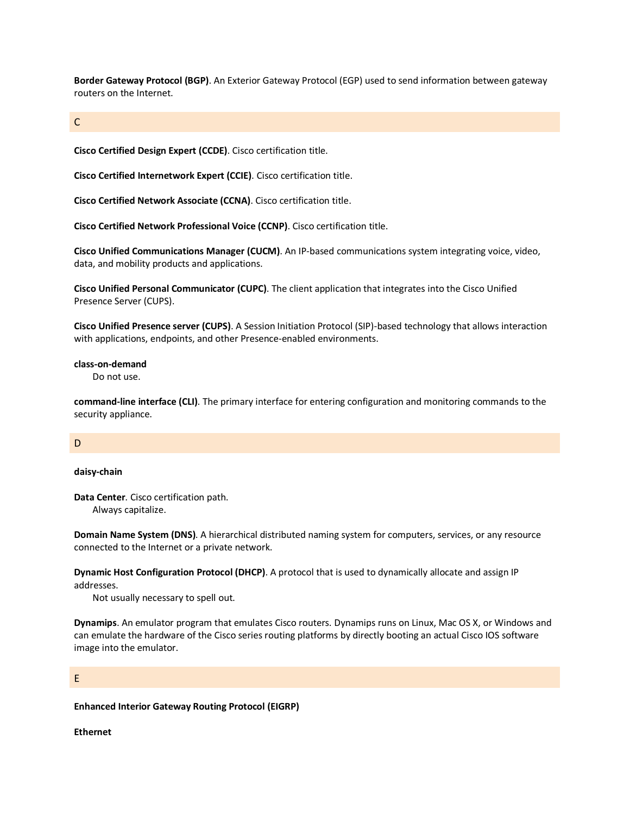**Border Gateway Protocol (BGP)**. An Exterior Gateway Protocol (EGP) used to send information between gateway routers on the Internet.

## C

**Cisco Certified Design Expert (CCDE)**. Cisco certification title.

**Cisco Certified Internetwork Expert (CCIE)**. Cisco certification title.

**Cisco Certified Network Associate (CCNA)**. Cisco certification title.

**Cisco Certified Network Professional Voice (CCNP)**. Cisco certification title.

**Cisco Unified Communications Manager (CUCM)**. An IP-based communications system integrating voice, video, data, and mobility products and applications.

**Cisco Unified Personal Communicator (CUPC)**. The client application that integrates into the Cisco Unified Presence Server (CUPS).

**Cisco Unified Presence server (CUPS)**. A [Session Initiation Protocol](http://www.ietf.org/html.charters/sip-charter.html) (SIP)-based technology that allows interaction with applications, endpoints, and other Presence-enabled environments.

#### **class-on-demand**

Do not use.

**command-line interface (CLI)**. The primary interface for entering configuration and monitoring commands to the security appliance.

#### D

#### **daisy-chain**

**Data Center**. Cisco certification path. Always capitalize.

**Domain Name System (DNS)**. A hierarchical distributed naming system for computers, services, or any resource connected to the Internet or a private network.

**Dynamic Host Configuration Protocol (DHCP)**. A protocol that is used to dynamically allocate and assign IP addresses.

Not usually necessary to spell out.

**Dynamips**. An emulator program that emulates Cisco routers. Dynamips runs on Linux, Mac OS X, or Windows and can emulate the hardware of the Cisco series routing platforms by directly booting an actual Cisco IOS software image into the emulator.

#### E

#### **Enhanced Interior Gateway Routing Protocol (EIGRP)**

**Ethernet**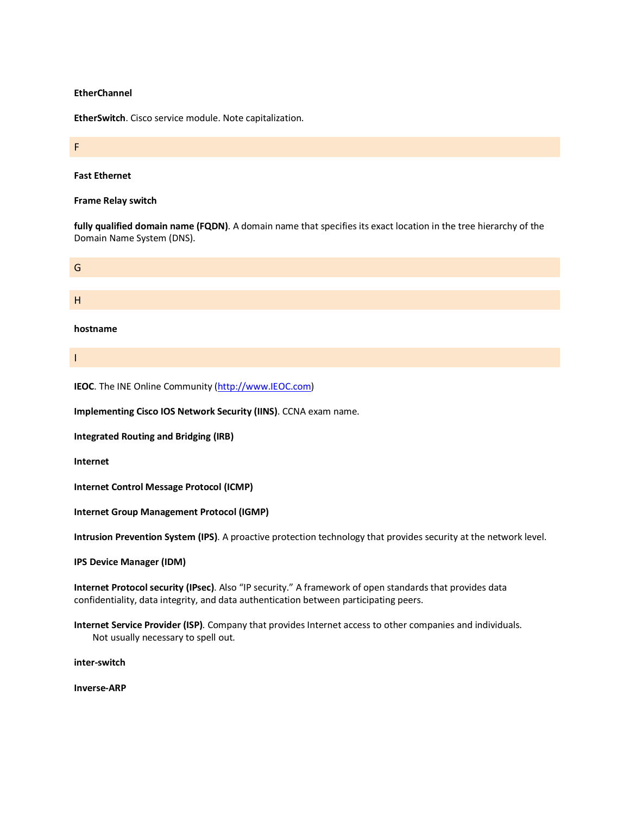#### **EtherChannel**

**EtherSwitch**. Cisco service module. Note capitalization.

#### **Fast Ethernet**

F

#### **Frame Relay switch**

**fully qualified domain name (FQDN)**. A domain name that specifies its exact location in the tree hierarchy of the Domain Name System (DNS).



**hostname**

I

**IEOC**. The INE Online Community [\(http://www.IEOC.com\)](http://www.ieoc.com/)

**Implementing Cisco IOS Network Security (IINS)**. CCNA exam name.

**Integrated Routing and Bridging (IRB)**

**Internet**

**Internet Control Message Protocol (ICMP)**

**Internet Group Management Protocol (IGMP)**

**Intrusion Prevention System (IPS)**. A proactive protection technology that provides security at the network level.

**IPS Device Manager (IDM)**

**Internet Protocol security (IPsec)**. Also "IP security." A framework of open standards that provides data confidentiality, data integrity, and data authentication between participating peers.

**Internet Service Provider (ISP)**. Company that provides Internet access to other companies and individuals. Not usually necessary to spell out.

**inter-switch**

**Inverse-ARP**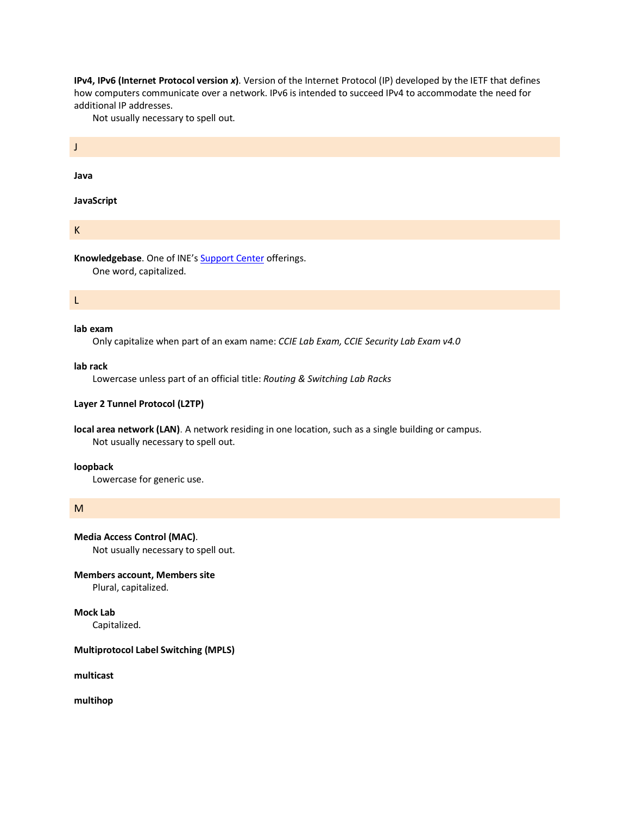**IPv4, IPv6 (Internet Protocol version** *x***)**. Version of the Internet Protocol (IP) developed by the IETF that defines how computers communicate over a network. IPv6 is intended to succeed IPv4 to accommodate the need for additional IP addresses.

Not usually necessary to spell out.

**Java**

J

**JavaScript**

K

Knowledgebase. One of INE's **Support Center** offerings.

One word, capitalized.

L

## **lab exam**

Only capitalize when part of an exam name: *CCIE Lab Exam, CCIE Security Lab Exam v4.0*

#### **lab rack**

Lowercase unless part of an official title: *Routing & Switching Lab Racks*

## **Layer 2 Tunnel Protocol (L2TP)**

**local area network (LAN)**. A network residing in one location, such as a single building or campus. Not usually necessary to spell out.

#### **loopback**

Lowercase for generic use.

## M

**Media Access Control (MAC)**.

Not usually necessary to spell out.

## **Members account, Members site**

Plural, capitalized.

## **Mock Lab**

Capitalized.

## **Multiprotocol Label Switching (MPLS)**

**multicast**

**multihop**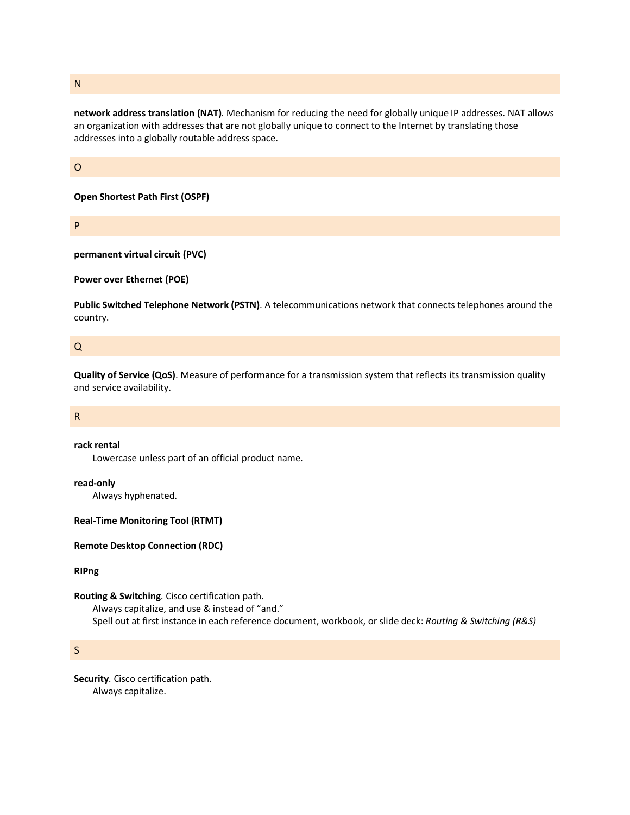N

**network address translation (NAT)**. Mechanism for reducing the need for globally unique IP addresses. NAT allows an organization with addresses that are not globally unique to connect to the [Internet](http://www.cisco.com/en/US/docs/security/asa/asa80/configuration/guide/glossary.html%23wp1021492) by translating those addresses into a globally routable address space.

#### O

**Open Shortest Path First (OSPF)**

P

**permanent virtual circuit (PVC)**

**Power over Ethernet (POE)**

**Public Switched Telephone Network (PSTN)**. A telecommunications network that connects telephones around the country.

## Q

**Quality of Service (QoS)**. Measure of performance for a transmission system that reflects its transmission quality and service availability.

### R

#### **rack rental**

Lowercase unless part of an official product name.

**read-only**

Always hyphenated.

**Real-Time Monitoring Tool (RTMT)**

**Remote Desktop Connection (RDC)**

## **RIPng**

#### **Routing & Switching**. Cisco certification path.

Always capitalize, and use & instead of "and." Spell out at first instance in each reference document, workbook, or slide deck: *Routing & Switching (R&S)*

S

**Security**. Cisco certification path. Always capitalize.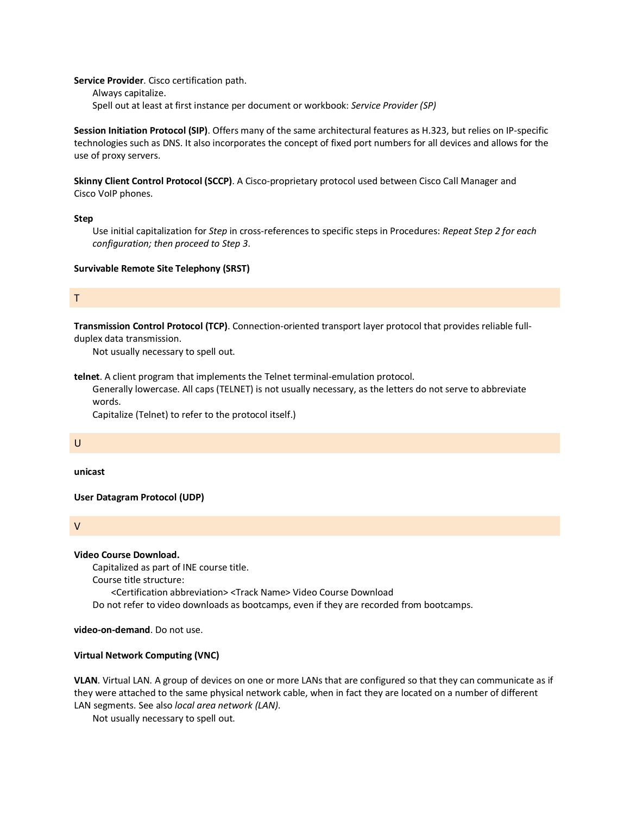**Service Provider**. Cisco certification path.

Always capitalize. Spell out at least at first instance per document or workbook: *Service Provider (SP)*

**Session Initiation Protocol (SIP)**. Offers many of the same architectural features as H.323, but relies on IP-specific technologies such as DNS. It also incorporates the concept of fixed port numbers for all devices and allows for the use of proxy servers.

**Skinny Client Control Protocol (SCCP)**. A Cisco-proprietary protocol used between Cisco Call Manager and Cisco [VoIP](http://www.cisco.com/en/US/docs/security/asa/asa80/configuration/guide/glossary.html%23wp1022125) phones.

#### **Step**

Use initial capitalization for *Step* in cross-references to specific steps in Procedures: *Repeat Step 2 for each configuration; then proceed to Step 3*.

## **Survivable Remote Site Telephony (SRST)**

## T

**Transmission Control Protocol (TCP)**. Connection-oriented transport layer protocol that provides reliable full-

duplex data transmission.

Not usually necessary to spell out.

**telnet**. A client program that implements the Telnet terminal-emulation protocol.

Generally lowercase. All caps (TELNET) is not usually necessary, as the letters do not serve to abbreviate words.

Capitalize (Telnet) to refer to the protocol itself.)

## U

**unicast**

**User Datagram Protocol (UDP)**

V

#### **Video Course Download.**

Capitalized as part of INE course title.

Course title structure:

<Certification abbreviation> <Track Name> Video Course Download

Do not refer to video downloads as bootcamps, even if they are recorded from bootcamps.

**video-on-demand**. Do not use.

## **Virtual Network Computing (VNC)**

**VLAN**. Virtual LAN. A group of devices on one or more LANs that are configured so that they can communicate as if they were attached to the same physical network cable, when in fact they are located on a number of different LAN segments. See also *local area network (LAN)*.

Not usually necessary to spell out.